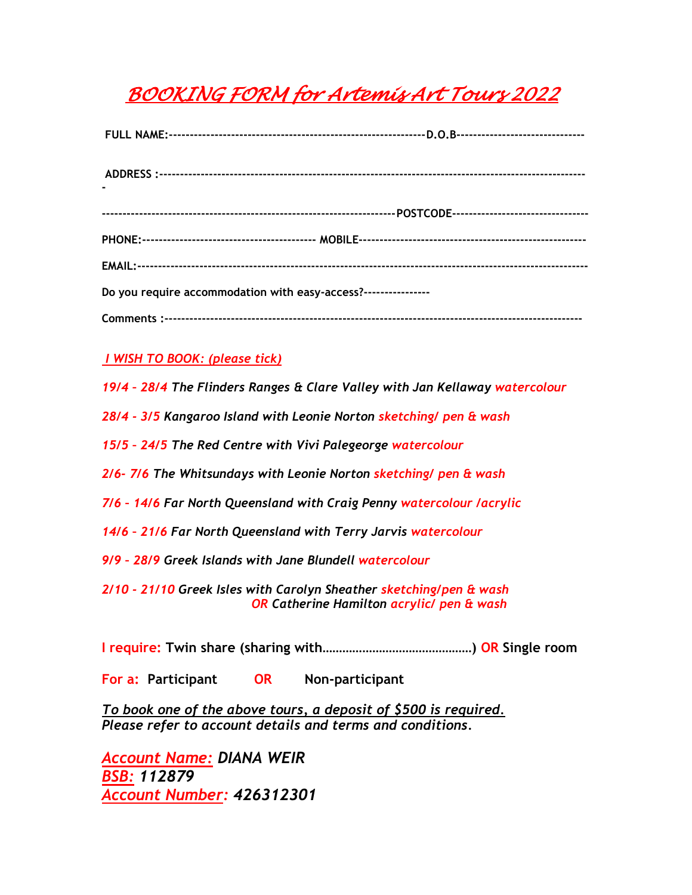# *BOOKING FORM for Artemis Art Tours 2022*

| Do you require accommodation with easy-access?---------------- |  |
|----------------------------------------------------------------|--|
|                                                                |  |

### *I WISH TO BOOK: (please tick)*

- *19/4 – 28/4 The Flinders Ranges & Clare Valley with Jan Kellaway watercolour*
- *28/4 - 3/5 Kangaroo Island with Leonie Norton sketching/ pen & wash*
- *15/5 – 24/5 The Red Centre with Vivi Palegeorge watercolour*
- *2/6- 7/6 The Whitsundays with Leonie Norton sketching/ pen & wash*
- *7/6 – 14/6 Far North Queensland with Craig Penny watercolour /acrylic*
- *14/6 – 21/6 Far North Queensland with Terry Jarvis watercolour*
- *9/9 – 28/9 Greek Islands with Jane Blundell watercolour*
- *2/10 - 21/10 Greek Isles with Carolyn Sheather sketching/pen & wash OR Catherine Hamilton acrylic/ pen & wash*
- **I require: Twin share (sharing with………………………………………) OR Single room**

**For a: Participant OR Non-participant**

*To book one of the above tours, a deposit of \$500 is required. Please refer to account details and terms and conditions.*

*Account Name: DIANA WEIR BSB: 112879 Account Number: 426312301*